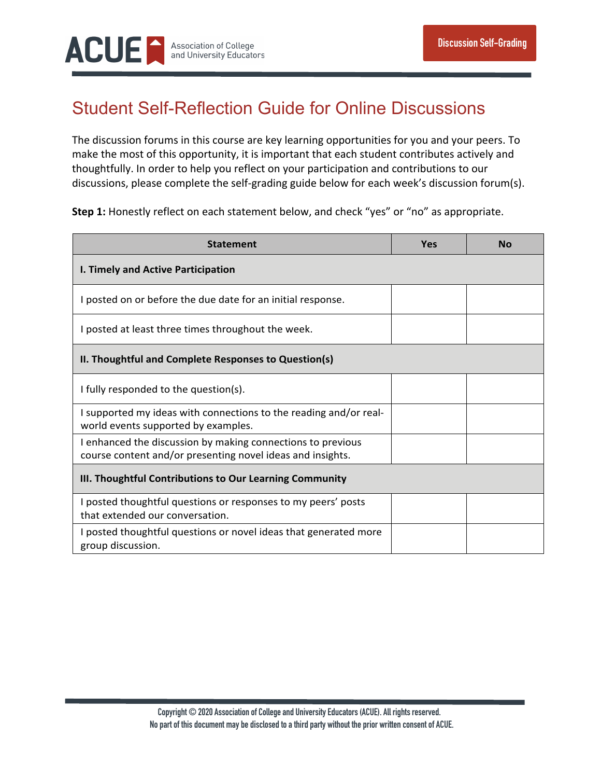

## Student Self-Reflection Guide for Online Discussions

The discussion forums in this course are key learning opportunities for you and your peers. To make the most of this opportunity, it is important that each student contributes actively and thoughtfully. In order to help you reflect on your participation and contributions to our discussions, please complete the self-grading guide below for each week's discussion forum(s).

**Step 1:** Honestly reflect on each statement below, and check "yes" or "no" as appropriate.

| <b>Statement</b>                                                                                                          | Yes | Nο |  |  |
|---------------------------------------------------------------------------------------------------------------------------|-----|----|--|--|
| I. Timely and Active Participation                                                                                        |     |    |  |  |
| I posted on or before the due date for an initial response.                                                               |     |    |  |  |
| I posted at least three times throughout the week.                                                                        |     |    |  |  |
| II. Thoughtful and Complete Responses to Question(s)                                                                      |     |    |  |  |
| I fully responded to the question(s).                                                                                     |     |    |  |  |
| I supported my ideas with connections to the reading and/or real-<br>world events supported by examples.                  |     |    |  |  |
| I enhanced the discussion by making connections to previous<br>course content and/or presenting novel ideas and insights. |     |    |  |  |
| III. Thoughtful Contributions to Our Learning Community                                                                   |     |    |  |  |
| I posted thoughtful questions or responses to my peers' posts<br>that extended our conversation.                          |     |    |  |  |
| I posted thoughtful questions or novel ideas that generated more<br>group discussion.                                     |     |    |  |  |